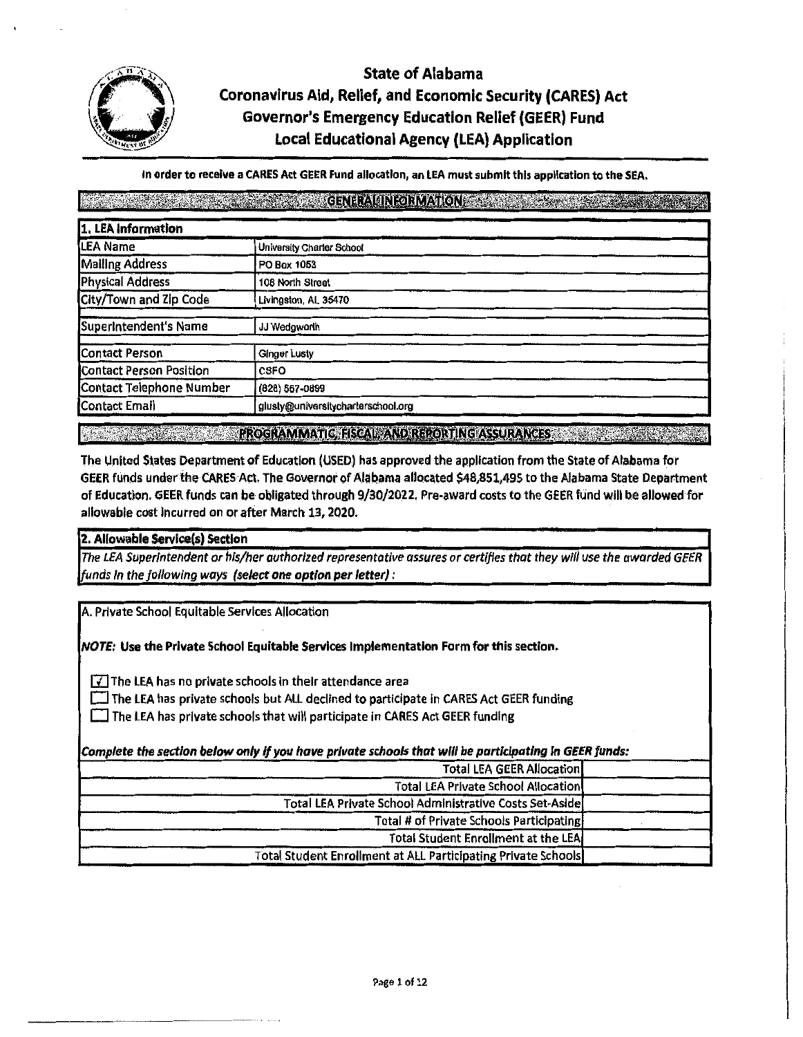

## State of Alabama<br>Coronavirus Aid, Relief, and Economic<br>Governor's Emergency Education R<br>Local Educational Agency (LEA) Coronavirus Aid, Relief, and Economic Security (CARES) Act Governor's Emergency Education Relief (GEER) Fund Local Educational Agency (LEA) Application

#### In order to receive a CARES Act GEER Fund allocation, an LEA must submit this application to the SEA.

#### **A MARK CENHAMINIONAL CONTRACT OF A STATE OF A MARKET CONTRACT OF A MARKET CONTRACT OF A MARKET CONTRACT OF A MA** The Company

| 1. LEA information       |                                                |
|--------------------------|------------------------------------------------|
| [LEA Name                | University Charter School                      |
| <b>Mailing Address</b>   | PO Box 1053                                    |
| <b>Physical Address</b>  | 108 North Street                               |
| City/Town and Zip Code   | Livingston, AL 35470                           |
| Superintendent's Name    | JJ Wedgworth                                   |
| <b>Contact Person</b>    | Ginger Lusty                                   |
| Contact Person Position  | CSFO                                           |
| Contact Telephone Number | (828) 557-0899                                 |
| Contact Email            | glusty@universitycharterschool.org             |
| <b>CONTRACTOR</b>        | PROGRAMMATIC, FISCAL, AND REPORTING ASSURANCES |

The United **States** Department of Education (USED) has approved the application from the State of Alabama for GEER funds under the CARES Act. The Governor of Alabama allocated \$48,851,495 to the Alabama State Department of Education. GEER funds can be obligated through 9/30/2022. Pre-award costs to the GEER fund will be allowed for allowable cost Incurred on or after March 13, 2020.

**2. Allowable Service(s) Section** 

*The LEA Superintendent* or *his/her authorized representative assures* or *certifies that they will use the awarded GEER 'unds In the following ways (select ane option per letter):* 

A. Private School Equitable Services Allocation

*NOTE:* **Use the Private School Equitable Services Implementation Form for this section.** 

 $\sqrt{ }$  The LEA has no private schools in their attendance area

 $\Box$  The LEA has private schools but ALL declined to participate in CARES Act GEER funding

 $\square$  The LEA has private schools that will participate in CARES Act GEER funding

*Complete the section below only* If *you have private schools that w/11 be participating In GEER funds:* 

| <b>Total LEA GEER Allocation</b>                              |  |
|---------------------------------------------------------------|--|
| Total LEA Private School Allocation                           |  |
| Total LEA Private School Administrative Costs Set-Aside       |  |
| Total # of Private Schools Participating                      |  |
| <b>Total Student Enrollment at the LEA</b>                    |  |
| Total Student Enrollment at ALL Participating Private Schools |  |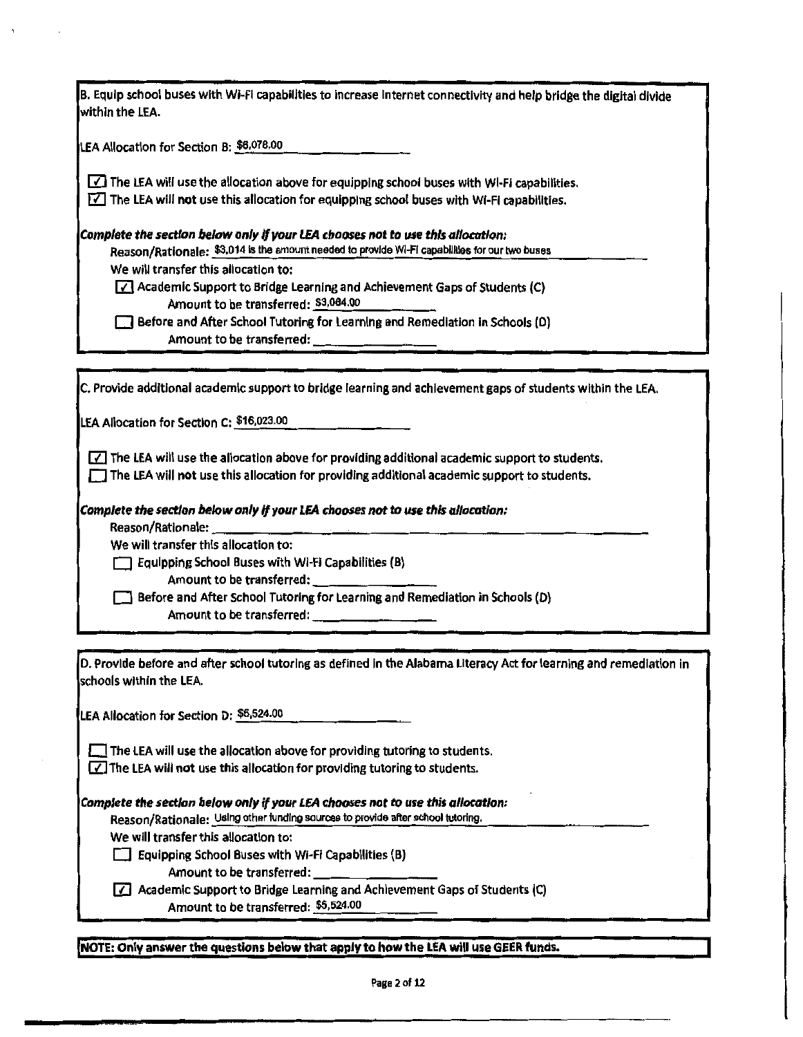| B. Equip school buses with Wi-Fi capabilities to increase internet connectivity and help bridge the digital divide<br>within the LEA.                                                                            |
|------------------------------------------------------------------------------------------------------------------------------------------------------------------------------------------------------------------|
| LEA Allocation for Section B: \$6,078.00                                                                                                                                                                         |
| The LEA will use the allocation above for equipping school buses with Wi-Fi capabilities.<br>$\triangledown$ The LEA will not use this allocation for equipping school buses with Wi-Fi capabilities.            |
| Complete the section below only if your LEA chooses not to use this allocation:<br>Reason/Rationale: \$3,014 is the amount needed to provide Wi-Fi capabilities for our two buses                                |
| We will transfer this allocation to:<br>$\sqrt{ }$ Academic Support to Bridge Learning and Achievement Gaps of Students (C)<br>Amount to be transferred: \$3,084.00                                              |
| Before and After School Tutoring for Learning and Remediation in Schools (D)<br>Amount to be transferred: _________                                                                                              |
|                                                                                                                                                                                                                  |
| C. Provide additional academic support to bridge learning and achlevement gaps of students within the LEA.                                                                                                       |
| LEA Allocation for Section C: \$16,023.00                                                                                                                                                                        |
| $\boxed{\checkmark}$ The LEA will use the allocation above for providing additional academic support to students.<br>The LEA will not use this allocation for providing additional academic support to students. |
| Complete the section below only if your LEA chooses not to use this allocation:                                                                                                                                  |
| We will transfer this allocation to:                                                                                                                                                                             |
| Equipping School Buses with Wi-Fi Capabilities (B)                                                                                                                                                               |
| Before and After School Tutoring for Learning and Remediation in Schools (D)                                                                                                                                     |
|                                                                                                                                                                                                                  |
|                                                                                                                                                                                                                  |
| D. Provide before and after school tutoring as defined in the Alabama Literacy Act for learning and remediation in<br>schools within the LEA.                                                                    |
| LEA Allocation for Section D: \$5,524.00                                                                                                                                                                         |
| The LEA will use the allocation above for providing tutoring to students.                                                                                                                                        |
| $\boxed{\angle}$ The LEA will not use this allocation for providing tutoring to students.                                                                                                                        |
| Complete the section below only if your LEA chooses not to use this allocation:                                                                                                                                  |
| Reason/Rationale: Using other funding sources to provide after school tutoring.                                                                                                                                  |
| We will transfer this allocation to:                                                                                                                                                                             |
| Equipping School Buses with Wi-Fi Capabilities (B)                                                                                                                                                               |
| Amount to be transferred: __<br>Academic Support to Bridge Learning and Achievement Gaps of Students (C)                                                                                                         |
| Amount to be transferred: \$5,524.00                                                                                                                                                                             |
|                                                                                                                                                                                                                  |

**!NOTE: Only answer the questions below that apply to how the LEA wlll use GEER funds.**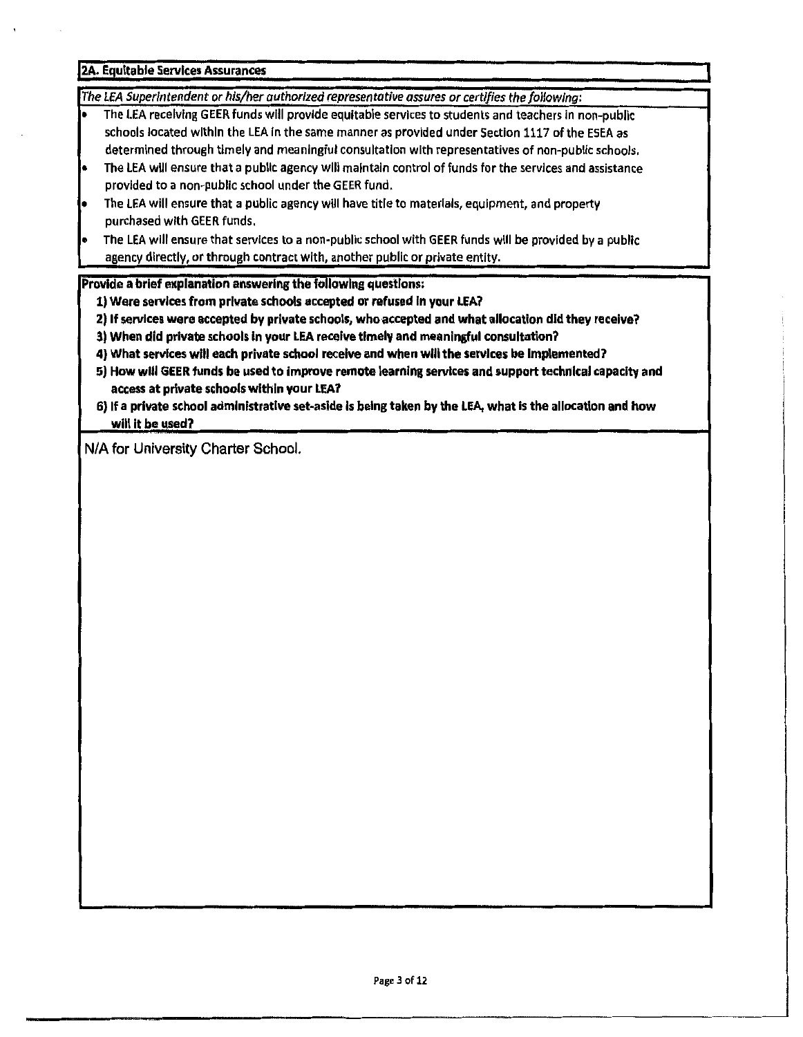#### **(2A. Equitable Services Assurances**

*The LEA Superintendent or his/her authorized representative assures orcertlfies the following:* 

- The LEA receiving GEER funds will provide equitable services to students and teachers in non-public schools located within the LEA In the same manner as provided under Section 1117 of the ESEA as determined through timely and meaningful consultation with representatives of non-public schools,
- The LEA will ensure that a public agency will maintain control of funds for the services and assistance provided to a non-public school under the GEER fund.
- The LEA will ensure that a public agency will have title to materials, equipment, and property purchased with GEER funds,
- The LEA will ensure that services to a non-public school with GEER funds will be provided by a public agency directly, or through contract with, another public or private entity.

#### **Provide a brief explanation answering the following questions:**

- **1) Were services from private schools accepted or refused** In **your LEA?**
- 2) If services were accepted by private schools, who accepted and what allocation did they receive?
- 3) When did private schools In your LEA receive timely and meaningful consultation?
- 4) What services will each private school receive and when will the services be Implemented?
- 5) How will GEER funds be used to improve remote learning services and support technical capacity and access at private schools within your LEA?
- 6) If a private school administrative set-aside Is being taken by the LEA, what is the allocation and how will it be used?

N/A for University Charter School.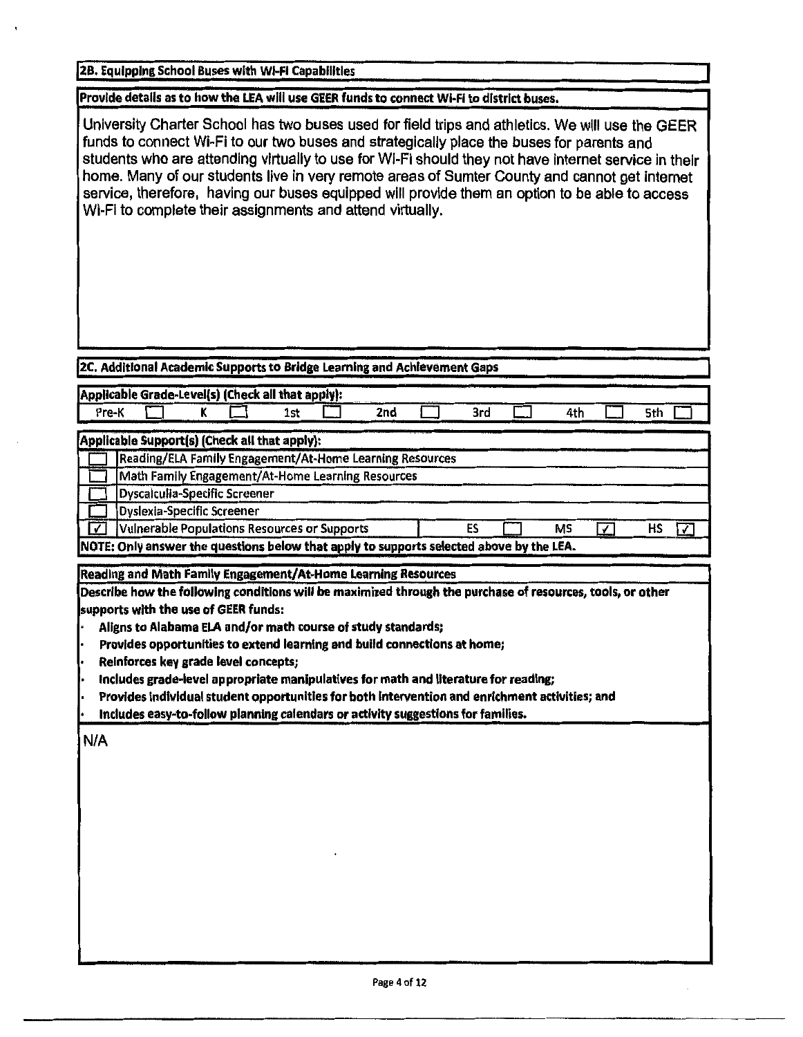#### jzs. Equipping School Buses with WI-Fl Capabllltles

### Provide details as to how the LEA will use GEER funds to connect WI-Fl to district buses.

University Charter School has two buses used for field trips and athletics. We will use the GEER funds to connect Wi-Fi to our two buses and strategically place the buses for parents and students who are attending virtually to use for WI-Fi should they not have internet service in their home. Many of our students live in very remote areas of Sumter County and cannot get internet service, therefore, having our buses equipped will provide them an option to be able to access Wi-FI to complete their assignments and attend virtually.

#### **izc. Additional Academic Supports to Bridge Leaming and Achievement Gaps**

|                                      |  |                                      |  | Applicable Grade-Level(s) (Check all that apply):   |                                                                                                            |     |     |              |     |   |
|--------------------------------------|--|--------------------------------------|--|-----------------------------------------------------|------------------------------------------------------------------------------------------------------------|-----|-----|--------------|-----|---|
| Pre-K                                |  | ĸ                                    |  | 1st                                                 | 2nd                                                                                                        | 3rd | 4th |              | 5th |   |
|                                      |  |                                      |  | Applicable Support(s) (Check all that apply):       |                                                                                                            |     |     |              |     |   |
|                                      |  |                                      |  |                                                     |                                                                                                            |     |     |              |     |   |
|                                      |  |                                      |  |                                                     | Reading/ELA Family Engagement/At-Home Learning Resources                                                   |     |     |              |     |   |
|                                      |  |                                      |  |                                                     | Math Family Engagement/At-Home Learning Resources                                                          |     |     |              |     |   |
|                                      |  | <b>Dyscalculia-Specific Screener</b> |  |                                                     |                                                                                                            |     |     |              |     |   |
|                                      |  | Dyslexia-Specific Screener           |  |                                                     |                                                                                                            |     |     |              |     |   |
| ⊽                                    |  |                                      |  | <b>Vulnerable Populations Resources or Supports</b> |                                                                                                            | ES  | ΜS  | $\mathbf{v}$ | НS  | 7 |
|                                      |  |                                      |  |                                                     | NOTE: Only answer the questions below that apply to supports selected above by the LEA.                    |     |     |              |     |   |
|                                      |  |                                      |  |                                                     | Reading and Math Family Engagement/At-Home Learning Resources                                              |     |     |              |     |   |
|                                      |  |                                      |  |                                                     | Describe how the following conditions will be maximized through the purchase of resources, tools, or other |     |     |              |     |   |
| supports with the use of GEER funds: |  |                                      |  |                                                     |                                                                                                            |     |     |              |     |   |
|                                      |  |                                      |  |                                                     | Aligns to Alabama ELA and/or math course of study standards;                                               |     |     |              |     |   |
|                                      |  |                                      |  |                                                     | Provides opportunities to extend learning and build connections at home;                                   |     |     |              |     |   |
|                                      |  | Reinforces key grade level concepts; |  |                                                     |                                                                                                            |     |     |              |     |   |
|                                      |  |                                      |  |                                                     |                                                                                                            |     |     |              |     |   |
|                                      |  |                                      |  |                                                     | Includes grade-level appropriate manipulatives for math and literature for reading;                        |     |     |              |     |   |
|                                      |  |                                      |  |                                                     | Provides individual student opportunities for both intervention and enrichment activities; and             |     |     |              |     |   |
|                                      |  |                                      |  |                                                     | Includes easy-to-follow planning calendars or activity suggestions for families.                           |     |     |              |     |   |
| N/A                                  |  |                                      |  |                                                     |                                                                                                            |     |     |              |     |   |
|                                      |  |                                      |  |                                                     |                                                                                                            |     |     |              |     |   |
|                                      |  |                                      |  |                                                     |                                                                                                            |     |     |              |     |   |
|                                      |  |                                      |  |                                                     |                                                                                                            |     |     |              |     |   |
|                                      |  |                                      |  |                                                     |                                                                                                            |     |     |              |     |   |
|                                      |  |                                      |  |                                                     |                                                                                                            |     |     |              |     |   |
|                                      |  |                                      |  |                                                     |                                                                                                            |     |     |              |     |   |
|                                      |  |                                      |  |                                                     |                                                                                                            |     |     |              |     |   |
|                                      |  |                                      |  |                                                     |                                                                                                            |     |     |              |     |   |
|                                      |  |                                      |  |                                                     |                                                                                                            |     |     |              |     |   |
|                                      |  |                                      |  |                                                     |                                                                                                            |     |     |              |     |   |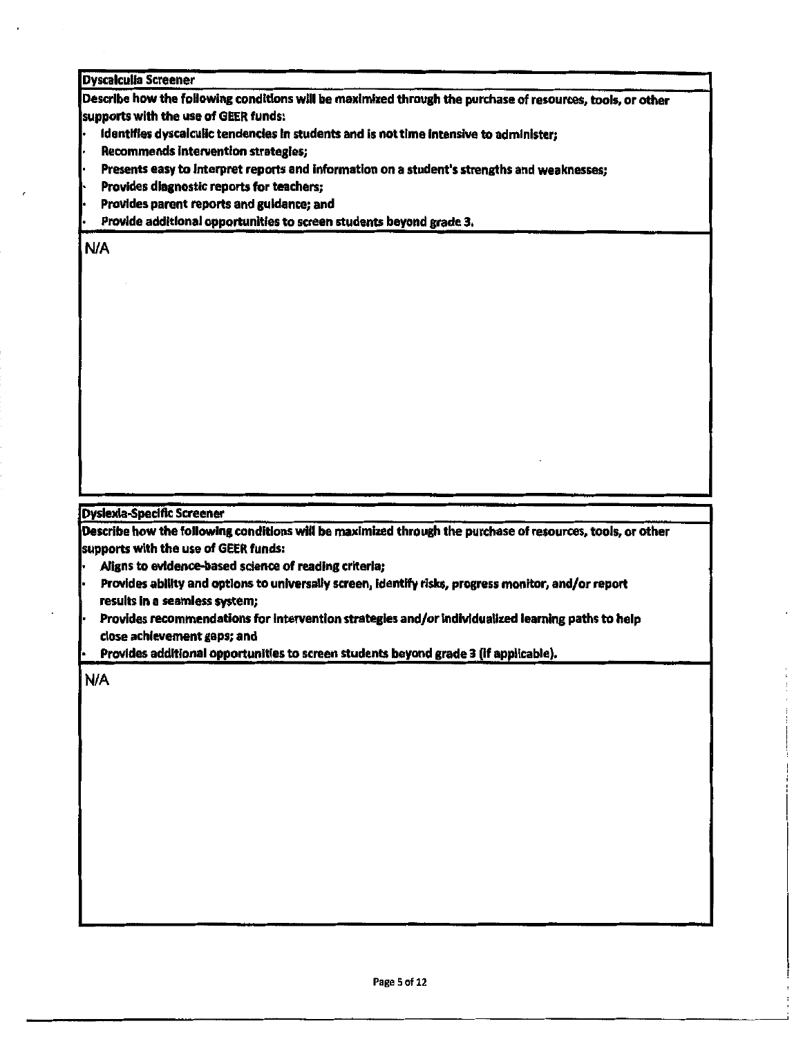#### Dyscalculla Screener

Describe how the following conditions will be maximized through the purchase of resources, tools, or other supports with the use of GEER funds:

- Identifies dyscalcullc tendencies In students and is not time Intensive to administer;
- Recommends Intervention strategies;
- Presents easy to Interpret reports and Information on a student's strengths and weaknesses;
- Provides diagnostic reports for teachers;
- Provides parent reports and guidance; and
- Provide addltlonal opportunities to screen students beyond grade 3,

#### N/A

#### Dyslexia-Specific Screener

Describe how the followlng conditions will be maximized through the purchase of resources, tools, or other supports with the use of GEER funds:

- Aligns to evidence-based science of reading criteria;
- Provides ablllty and options to unlversally screen, Identify risks, progress monitor, and/or report results In a seamless system;
- Provides recommendations for intervention strategies and/or individualized learning paths to help close achievement gaps; and

• Provides additional opportunities to screen students beyond grade 3 (If applicable).

N/A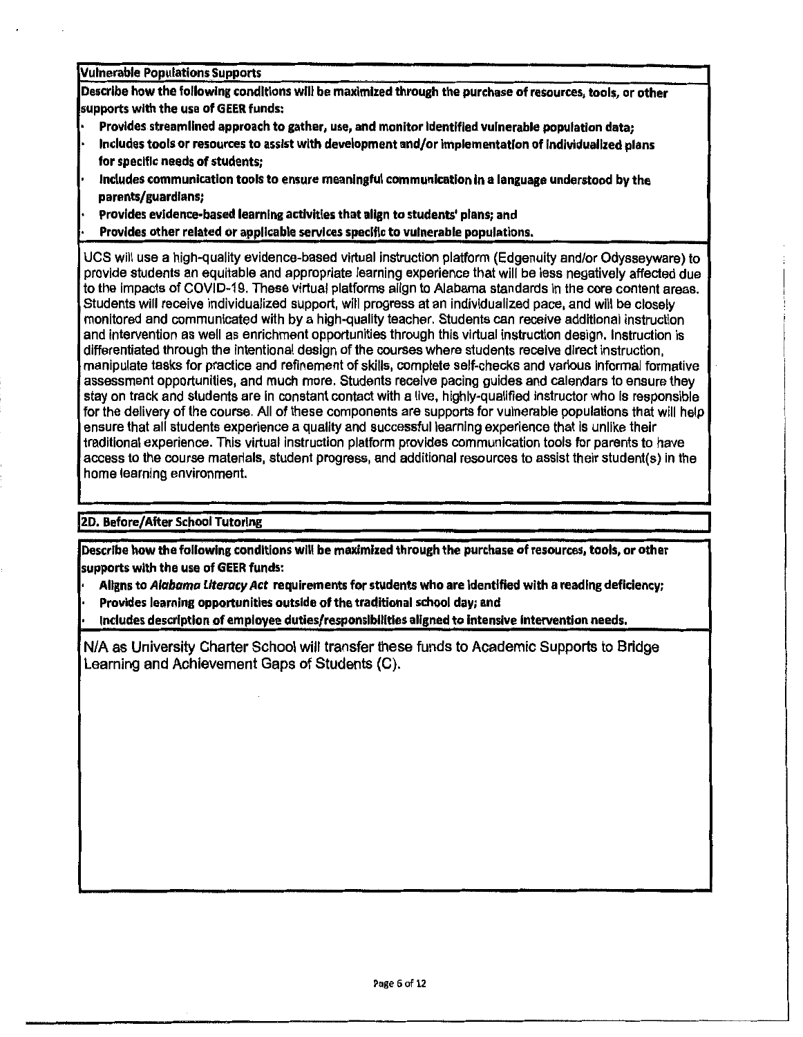**Vulnerable Populations Supports** 

**Describe how the following conditions will** be **maximized through the purchase of resources, tools, or other supports with the use of GEER funds:** 

- . **Provides streamlined approach to gather, use, and monitor Identified vulnerable population data; Includes tools** or **resources to assist with development and/or Implementation of Individualized plans for specific needs of students;**
- . **Includes communication tools to ensure meaningful communication In a language understood by the parents/guardians;**
- . **Provides evidence-based learning activities that align to students' plans; and**
- **Provides other related or applicable services specific to vulnerable populations.**

UCS will use a high-quality evidence-based virtual instruction platform (Edgenuity and/or Odysseyware) to provide students an equitable and appropriate learning experience that will be less negatively affected due to the Impacts of COVID-19. These virtual platforms align to Alabama standards in the core content areas. Students will receive individualized support, will progress at an individualized pace, and will be closely monitored and communicated with by a high-quality teacher, Students can receive additional instruction and intervention as well as enrichment opportunities through this virtual instruction design. Instruction Is differentiated through the intentional design of the courses where students receive direct instruction, manipulate tasks for practice and refinement of skills, complete self-checks and various Informal formative assessment opportunities, and much more. Students receive pacing guides and calendars to ensure they stay on track and students are in constant contact with a live, highly-qualified instructor who is responsible for the delivery of the course. All of these components are supports for vulnerable populations that will help ensure that all students experience a quality and successful learning experience that is unlike their traditional experience. This virtual instruction platform provides communication tools for parents to have access to the course materials, student progress, and additional resources to assist their student(s) in the home learning environment.

**(2D. Before/After School Tutoring** 

**Describe how the following conditions will be maximized through the purchase of resources, tools, or other supports with the use of GEER funds:** 

- **Aligns to Alabama Literacy Act requirements for students who are Identified with a reading deficiency;**
- **Provides learning opportunities outside of the traditional school day; and**
- **Includes description of employee duties/responsibllltles aligned to intensive Intervention needs.**

N/A as University Charter School will transfer these funds to Academic Supports to Bridge Learning and Achievement Gaps of Students (C).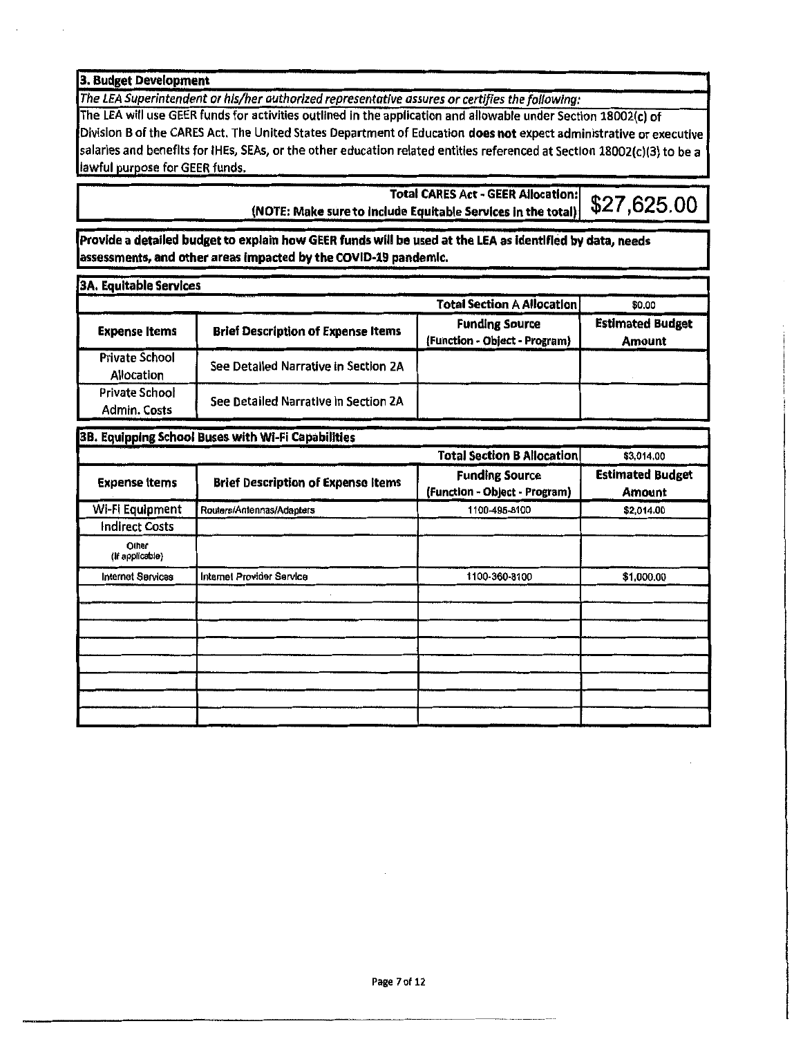**3. Budget Development** 

*The LEA Superintendent or his/her authorized representative assures or certifies the fol/awing:* 

The LEA will use GEER funds for activities outlined In the application and allowable under Section 18002(c) of Division **B** of the CARES Act. The United States Department of Education **does not** expect administrative or executive salaries and benefits for IHEs, SEAs, or the other education related entities referenced at Section 18002(c)(3) to be a lawful purpose for GEER funds.

**Total CARES Act - GEER Allocation: \$27,625.00** (NOTE: Make sure to include Equitable Services in the total)

**Provide a detailed budget to explain how GEER funds will be used at the LEA as Identified by data, needs assessments, and other areas Impacted by the COVID-19 pandemic.** 

| 3A. Equitable Services                |                                           |                                                        |                                   |
|---------------------------------------|-------------------------------------------|--------------------------------------------------------|-----------------------------------|
|                                       |                                           | <b>Total Section A Allocation</b>                      | \$0.00                            |
| <b>Expense Items</b>                  | <b>Brief Description of Expense Items</b> | <b>Funding Source</b><br>(Function - Object - Program) | <b>Estimated Budget</b><br>Amount |
| <b>Private School</b><br>Allocation   | See Detailed Narrative in Section 2A      |                                                        |                                   |
| <b>Private School</b><br>Admin. Costs | See Detailed Narrative in Section 2A      |                                                        |                                   |

**38. Equipping School Buses with WI-Fi capabilities Total Section B Allocation** \$3,014.00 **Expense Items** Brief Description of Expense Items **Funding Source** Estimated Budget **Expense** items **Expense Items (Function - Object - Program)** Wi-Fi Equipment Routers/Antennas/Adapters 1100-495-8100 \$2,014.00 Indirect Costs Olher (If applicable) Internet Services Internet Provider Service 1100-360·8100 \$1,000.00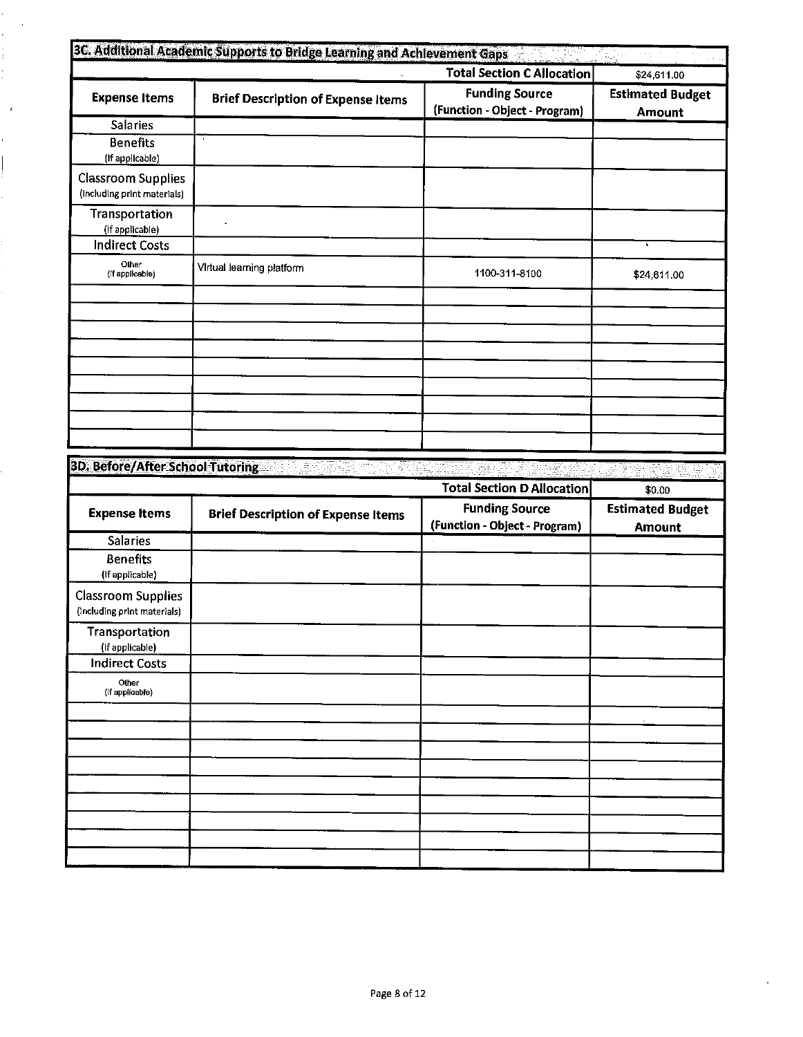|                                                          |                                           | <b>Total Section C Allocation</b>                      | \$24,611.00                       |
|----------------------------------------------------------|-------------------------------------------|--------------------------------------------------------|-----------------------------------|
| <b>Expense Items</b>                                     | <b>Brief Description of Expense Items</b> | <b>Funding Source</b><br>(Function - Object - Program) | <b>Estimated Budget</b><br>Amount |
| <b>Salaries</b>                                          |                                           |                                                        |                                   |
| <b>Benefits</b><br>(If applicable)                       |                                           |                                                        |                                   |
| <b>Classroom Supplies</b><br>(including print materials) |                                           |                                                        |                                   |
| <b>Transportation</b><br>(If applicable)                 |                                           |                                                        |                                   |
| <b>Indirect Costs</b>                                    |                                           |                                                        | $\bullet$                         |
| Other<br>(if applicable)                                 | Virtual learning platform                 | 1100-311-8100                                          | \$24,611.00                       |
|                                                          |                                           |                                                        |                                   |
|                                                          |                                           |                                                        |                                   |
|                                                          |                                           |                                                        |                                   |
|                                                          |                                           |                                                        |                                   |
|                                                          |                                           |                                                        |                                   |
|                                                          |                                           |                                                        |                                   |

|                                                          |                                           | <b>Total Section D Allocation</b>                      | \$0.00                                   |
|----------------------------------------------------------|-------------------------------------------|--------------------------------------------------------|------------------------------------------|
| <b>Expense Items</b>                                     | <b>Brief Description of Expense Items</b> | <b>Funding Source</b><br>(Function - Object - Program) | <b>Estimated Budget</b><br><b>Amount</b> |
| <b>Salaries</b>                                          |                                           |                                                        |                                          |
| <b>Benefits</b><br>(If applicable)                       |                                           |                                                        |                                          |
| <b>Classroom Supplies</b><br>(including print materials) |                                           |                                                        |                                          |
| <b>Transportation</b><br>(If applicable)                 |                                           |                                                        |                                          |
| <b>Indirect Costs</b>                                    |                                           |                                                        |                                          |
| Other<br>(if applicable)                                 |                                           |                                                        |                                          |
|                                                          |                                           |                                                        |                                          |
|                                                          |                                           |                                                        |                                          |
|                                                          |                                           |                                                        |                                          |
|                                                          |                                           |                                                        |                                          |
|                                                          |                                           |                                                        |                                          |
|                                                          |                                           |                                                        |                                          |
|                                                          |                                           |                                                        |                                          |
|                                                          |                                           |                                                        |                                          |
|                                                          |                                           |                                                        |                                          |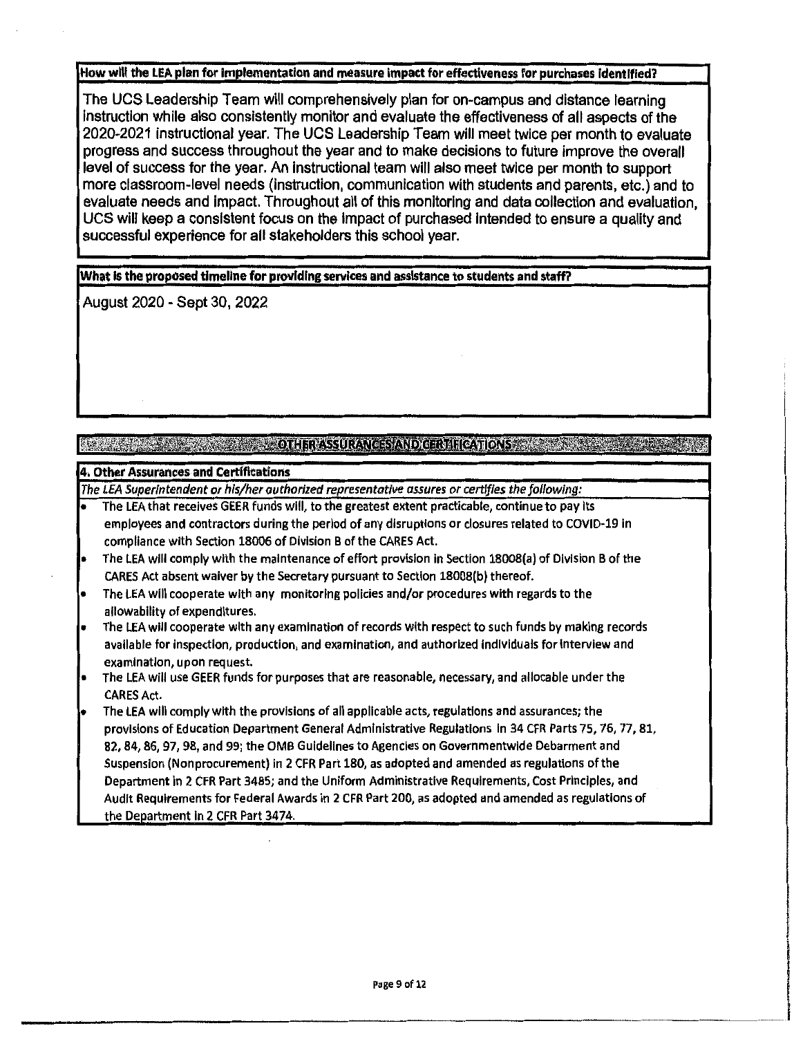How will the LEA plan for Implementation and measure **impact** for effectiveness for purchases identified?

The UCS Leadership Team will comprehensively plan for on-campus and distance learning Instruction while also consistently monitor and evaluate the effectiveness of all aspects of the 2020-2021 instructional year. The UCS Leadership Team will meet twice per month to evaluate progress and success throughout the year and to make decisions to future improve the overall level of success for the year. An instructional team will also meet twice per month to support more classroom-level needs (Instruction, communication with students and parents, etc.) and to evaluate needs and impact. Throughout all of this monitoring and data collection and evaluation, UCS will keep a consistent focus on the impact of purchased intended to ensure a quality and successful experience for all stakeholders this school year.

**What Is the proposed tlmellne for providing services and assistance to students and staff?** 

August 2020 - Sept 30, 2022

**EXAMPLE AND ARRESTS AND CLINIFICATIONS AND SERVICES AND ARRESTS AND CLINIFICATIONS** 

#### **4, Other Assurances and Certifications**

*The LEA Superintendent or his/her authorized representative assures or certifies the followina:* 

- The LEA that receives GEER funds will, *to* the greatest extent practicable, continue to pay Its employees and contractors during the period of any disruptions or closures related to COVID-19 In compliance with Section 18006 of Division **B** of the CARES Act.
- The LEA will comply with the maintenance of effort provision in Section 18008(a) of Division **<sup>B</sup>**of the CARES Act absent waiver by the Secretary pursuant to Section 18008(b) thereof.
- The LEA will cooperate with any monitoring policies and/or procedures with regards to the allowabllity of expenditures.
- The LEA will cooperate with any examination of records with respect to such funds by making records available for inspection, production, and examination, and authorized Individuals for Interview and examination, upon request.
- The LEA will use GEER funds for purposes that are reasonable, necessary, and allocable under the CARES Act.
- The LEA will comply with the provisions of all applicable acts, regulations and assurances; the provisions of Education Department General Administrative Regulations In 34 CFR Parts 75, 76, 77, 81, 82, 84, 86, 97, 98, and 99; the 0MB Guidelines to Agencies on Governmentwlde Debarment and Suspension (Nonprocurement) in 2 CFR Part 180, as adopted and amended as regulations of the Department In 2 CFR Part 3485; and the Uniform Administrative Requirements, Cost Principles, and Audit Requirements for Federal Awards in 2 CFR Part 200, as adopted and amended as regulations of the Deoartment In 2 CFR Part 3474.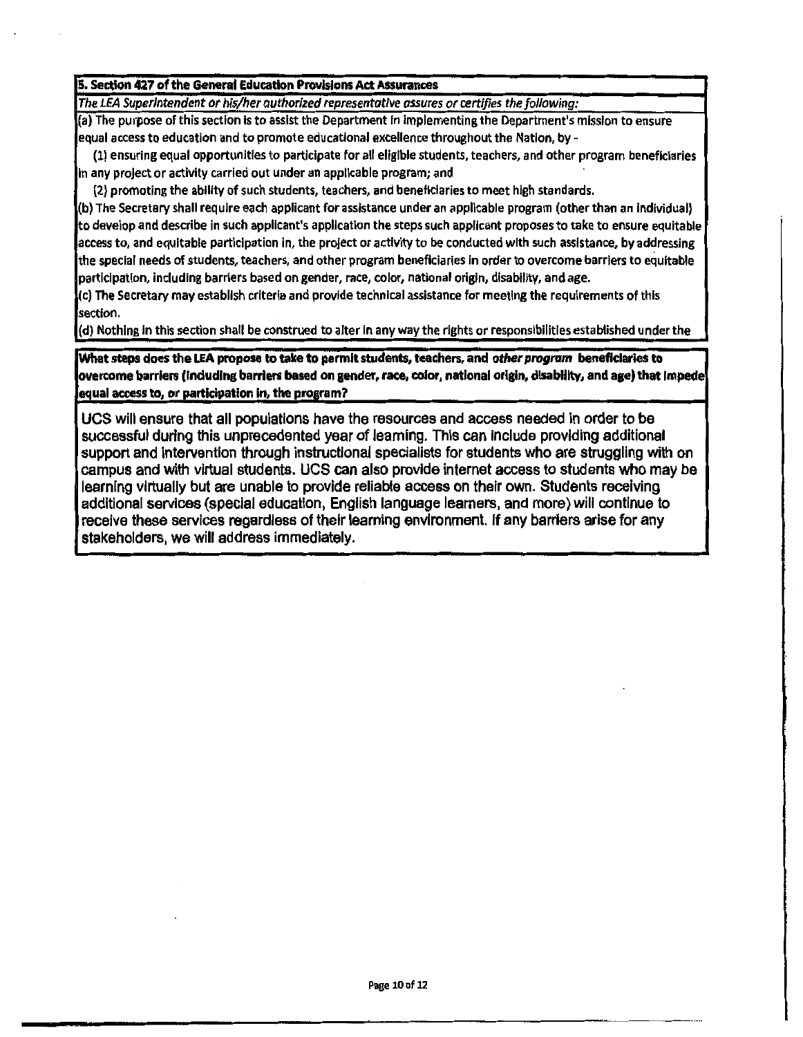#### **s. Section 427 of the General Education Provisions Act Assurances**

*The LEA Superintendent or his/her authorized representative assures or cert/fies the following:* 

(a) The purpose of this section Is to assist the Department In implementing the Department's mission to ensure equal access to education and to promote educational excellence throughout the Nation, by-

(1) ensuring equal opportunities to participate for all eligible students, teachers, and other program beneficiaries In any project or activity carried out under an applicable program; and

(2} promoting the ablllty of such students, teachers, and beneficiaries to meet high standards.

(bl The Secretary shall require each applicant for assistance under an applicable program (other than an individual)  $|$ to develop and describe in such applicant's application the steps such applicant proposes to take to ensure equitable  $|$ access to, and equitable participation In, the project or activity to be conducted with such assistance, by addressing the special needs of students, teachers, and other program beneficiaries In order to overcome barriers to equitable participation, including barriers based on gender, race, color, national origin, disability, and age.

(c) The Secretary may establish criteria and provide technical assistance for meeting the requirements of this section.

(d) Nothing In this section shall be construed to alter In any way the rights or responsibilities established under the

**What steps does the LEA propose to take to permit students, teachers, and** *other program* **beneficiaries to overcome barriers (lndudlng barriers based on gender, race, color, national origin, disability, and age) that Impede equal access to, or participation in, the program?** 

UCS will ensure that all populations have the resources and access needed in order to be successful during this unprecedented year of learning. This can include providing additional support and intervention through instructional specialists for students who are struggling with on campus and with virtual students. UCS can also provide internet access to students who may be learning virtually but are unable to provide reliable access on their own. Students receiving additional services (special education, English language learners, and more) will continue to receive these services regardless of their learning environment. If any barriers arise for any stakeholders, we will address immediately.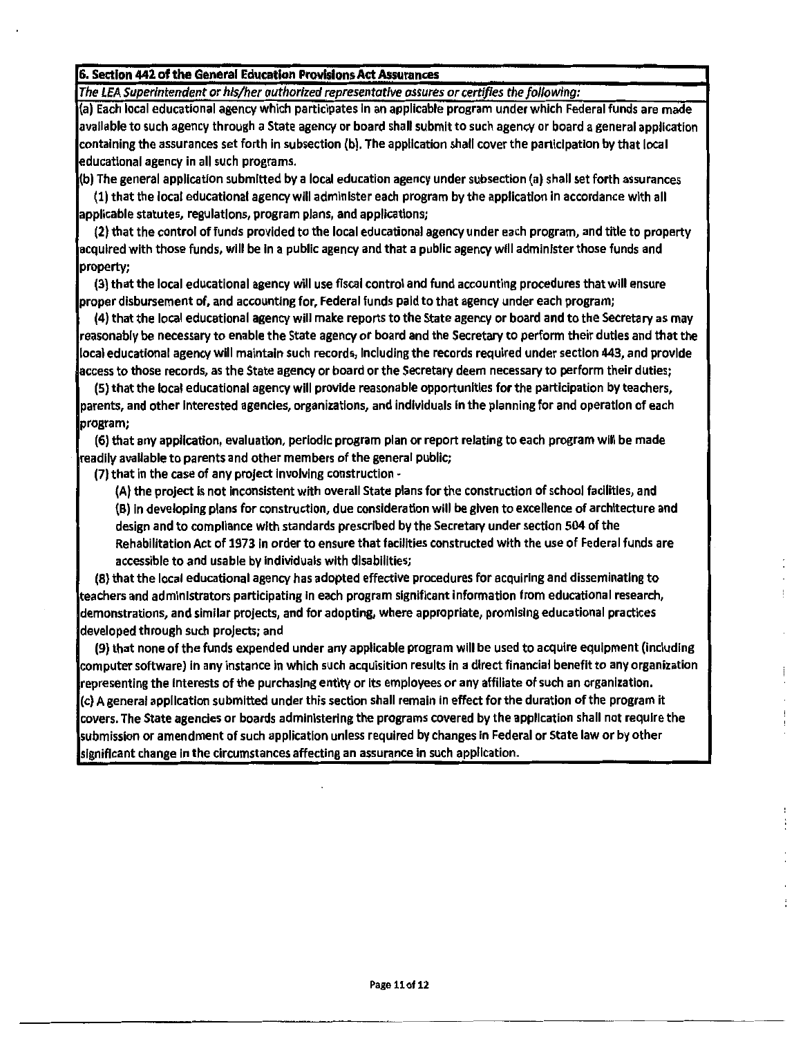#### **6. Section 442 of the General Education Provisions Act Assurances**

*The LEA Superintendent or his/her authorized representative assures ar certifies the fol/owing:* 

(a) Each local educational agency which participates In an applicable program under which Federal funds are made available to such agency through a State agency or board shall submit to such agency or board a general application containing the assurances set forth In subsection (b). The application shall cover the participation by that local educational agency in all such programs.

(b) The general application submitted by a local education agency under subsection (a) shall set forth assurances

(1) that the local educational agency will administer each program by the application In accordance with all applicable statutes, regulations, program plans, and applications;

(2) that the control of funds provided to the local educational agency under each program, and title to property acquired with those funds, will be in a public agency and that a public agency will administer those funds and property;

(3) that the local educational agency will use fiscal control and fund accounting procedures that will ensure proper disbursement of, and accounting for, Federal funds paid to that agency under each program;

(4) that the local educational agency will make reports to the State agency or board and to the Secretary as may reasonably be necessary to enable the State agency or board and the Secretary to perform their duties and that the local educational agency will maintain such records, Including the records required under section 443, and provide access to those records, as the State agency or board or the Secretary deem necessary to perform their duties;

(5) that the local educational agency will provide reasonable opportunities for the participation by teachers, parents, and other Interested agencies, organizations, and individuals in the planning for and operation of each program;

(6) that any application, evaluation, periodic program plan or report relating to each program will be made readily available to parents and other members of the general public;

(7) that in the case of any project Involving construction -

(A) the project Is not inconsistent with overall State plans for the construction of school facilities, and (B) In developing plans for construction, due consideration will be given to excellence of architecture and design and to compliance with standards prescribed by the Secretary under section 504 of the Rehabilitation Act of 1973 in order to ensure that facilities constructed with the use of Federal funds are accessible to and usable by individuals with disabilities;

(8) that the local educational agency has adopted effective procedures for acquiring and disseminating to teachers and administrators participating in each program significant information from educational research, demonstrations, and similar projects, and for adopting, where appropriate, promising educational practices developed through such projects; and

(9) that none of the funds expended under any applicable program will be used to acquire equipment (Including computer software) in any instance in which such acquisition results in a direct financial benefit to any organization representing the Interests of the purchasing entity or Its employees or any afflllate of such an organization. (c) A general application submitted under this section shall remain in effect for the duration of the program it covers. The State agencies or boards administering the programs covered by the application shall not require the submission or amendment of such application unless required by changes in Federal or State law or by other significant change in the circumstances affecting an assurance in such application.